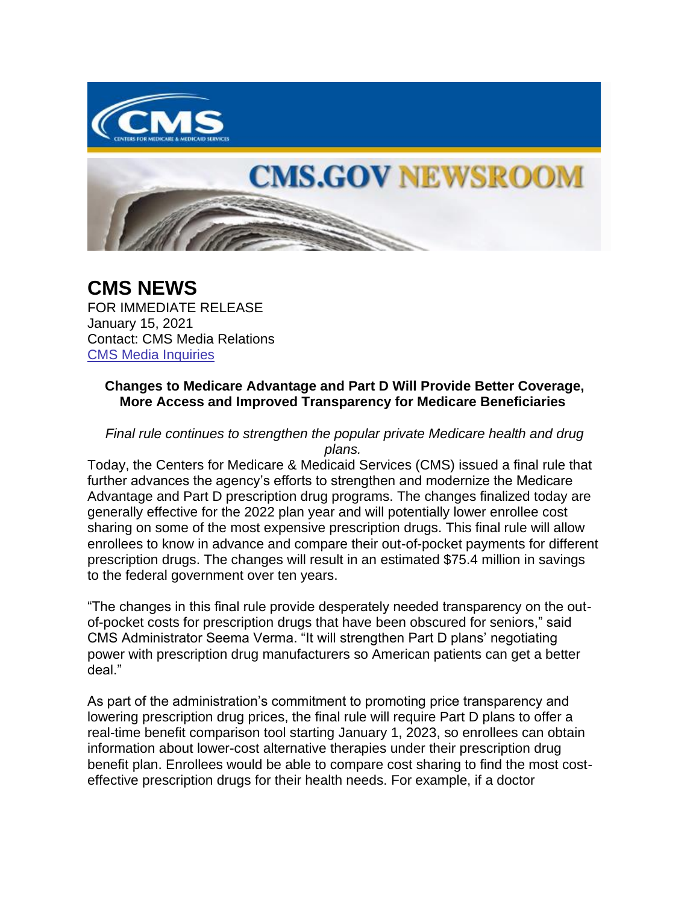

## **CMS.GOV NEWSROOM**

**CMS NEWS** FOR IMMEDIATE RELEASE January 15, 2021 Contact: CMS Media Relations [CMS Media Inquiries](https://lnks.gd/l/eyJhbGciOiJIUzI1NiJ9.eyJidWxsZXRpbl9saW5rX2lkIjoxMDAsInVyaSI6ImJwMjpjbGljayIsImJ1bGxldGluX2lkIjoiMjAyMTAxMTUuMzMzNzcyMDEiLCJ1cmwiOiJodHRwczovL3d3dy5jbXMuZ292L25ld3Nyb29tL21lZGlhLWlucXVpcmllcyJ9.-BYBpZT1NqIam-F8lpGGHQT5Sq_xRxEVepXxRLPMq3k/s/1086872215/br/93162205926-l)

## **Changes to Medicare Advantage and Part D Will Provide Better Coverage, More Access and Improved Transparency for Medicare Beneficiaries**

*Final rule continues to strengthen the popular private Medicare health and drug plans.*

Today, the Centers for Medicare & Medicaid Services (CMS) issued a final rule that further advances the agency's efforts to strengthen and modernize the Medicare Advantage and Part D prescription drug programs. The changes finalized today are generally effective for the 2022 plan year and will potentially lower enrollee cost sharing on some of the most expensive prescription drugs. This final rule will allow enrollees to know in advance and compare their out-of-pocket payments for different prescription drugs. The changes will result in an estimated \$75.4 million in savings to the federal government over ten years.

"The changes in this final rule provide desperately needed transparency on the outof-pocket costs for prescription drugs that have been obscured for seniors," said CMS Administrator Seema Verma. "It will strengthen Part D plans' negotiating power with prescription drug manufacturers so American patients can get a better deal."

As part of the administration's commitment to promoting price transparency and lowering prescription drug prices, the final rule will require Part D plans to offer a real-time benefit comparison tool starting January 1, 2023, so enrollees can obtain information about lower-cost alternative therapies under their prescription drug benefit plan. Enrollees would be able to compare cost sharing to find the most costeffective prescription drugs for their health needs. For example, if a doctor